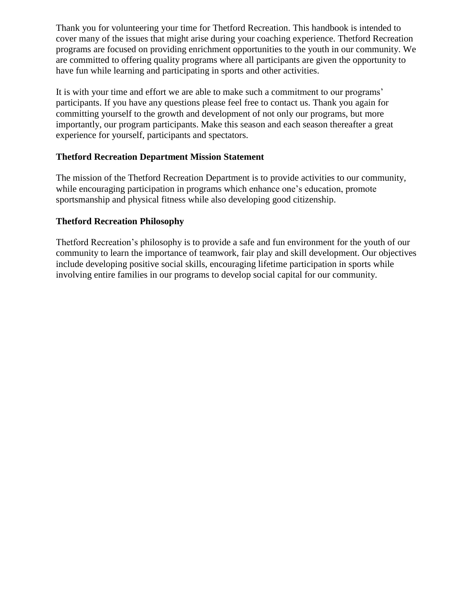Thank you for volunteering your time for Thetford Recreation. This handbook is intended to cover many of the issues that might arise during your coaching experience. Thetford Recreation programs are focused on providing enrichment opportunities to the youth in our community. We are committed to offering quality programs where all participants are given the opportunity to have fun while learning and participating in sports and other activities.

It is with your time and effort we are able to make such a commitment to our programs' participants. If you have any questions please feel free to contact us. Thank you again for committing yourself to the growth and development of not only our programs, but more importantly, our program participants. Make this season and each season thereafter a great experience for yourself, participants and spectators.

#### **Thetford Recreation Department Mission Statement**

The mission of the Thetford Recreation Department is to provide activities to our community, while encouraging participation in programs which enhance one's education, promote sportsmanship and physical fitness while also developing good citizenship.

#### **Thetford Recreation Philosophy**

Thetford Recreation's philosophy is to provide a safe and fun environment for the youth of our community to learn the importance of teamwork, fair play and skill development. Our objectives include developing positive social skills, encouraging lifetime participation in sports while involving entire families in our programs to develop social capital for our community.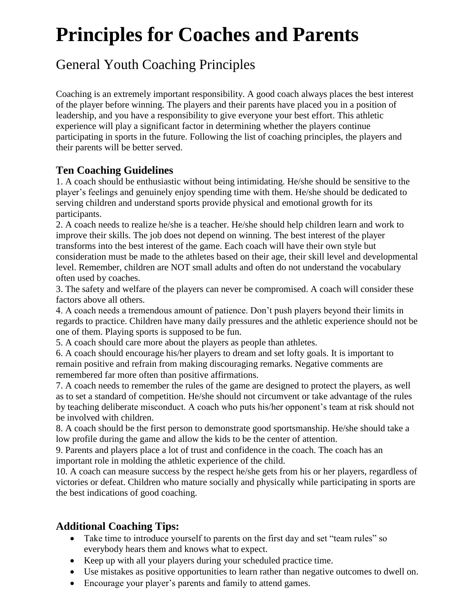# **Principles for Coaches and Parents**

## General Youth Coaching Principles

Coaching is an extremely important responsibility. A good coach always places the best interest of the player before winning. The players and their parents have placed you in a position of leadership, and you have a responsibility to give everyone your best effort. This athletic experience will play a significant factor in determining whether the players continue participating in sports in the future. Following the list of coaching principles, the players and their parents will be better served.

#### **Ten Coaching Guidelines**

1. A coach should be enthusiastic without being intimidating. He/she should be sensitive to the player's feelings and genuinely enjoy spending time with them. He/she should be dedicated to serving children and understand sports provide physical and emotional growth for its participants.

2. A coach needs to realize he/she is a teacher. He/she should help children learn and work to improve their skills. The job does not depend on winning. The best interest of the player transforms into the best interest of the game. Each coach will have their own style but consideration must be made to the athletes based on their age, their skill level and developmental level. Remember, children are NOT small adults and often do not understand the vocabulary often used by coaches.

3. The safety and welfare of the players can never be compromised. A coach will consider these factors above all others.

4. A coach needs a tremendous amount of patience. Don't push players beyond their limits in regards to practice. Children have many daily pressures and the athletic experience should not be one of them. Playing sports is supposed to be fun.

5. A coach should care more about the players as people than athletes.

6. A coach should encourage his/her players to dream and set lofty goals. It is important to remain positive and refrain from making discouraging remarks. Negative comments are remembered far more often than positive affirmations.

7. A coach needs to remember the rules of the game are designed to protect the players, as well as to set a standard of competition. He/she should not circumvent or take advantage of the rules by teaching deliberate misconduct. A coach who puts his/her opponent's team at risk should not be involved with children.

8. A coach should be the first person to demonstrate good sportsmanship. He/she should take a low profile during the game and allow the kids to be the center of attention.

9. Parents and players place a lot of trust and confidence in the coach. The coach has an important role in molding the athletic experience of the child.

10. A coach can measure success by the respect he/she gets from his or her players, regardless of victories or defeat. Children who mature socially and physically while participating in sports are the best indications of good coaching.

#### **Additional Coaching Tips:**

- Take time to introduce yourself to parents on the first day and set "team rules" so everybody hears them and knows what to expect.
- Keep up with all your players during your scheduled practice time.
- Use mistakes as positive opportunities to learn rather than negative outcomes to dwell on.
- Encourage your player's parents and family to attend games.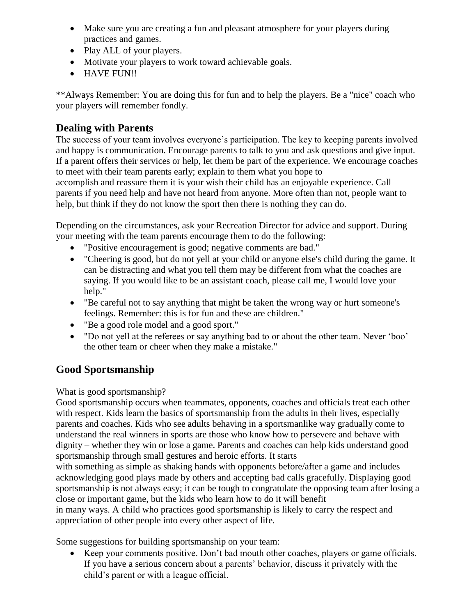- Make sure you are creating a fun and pleasant atmosphere for your players during practices and games.
- Play ALL of your players.
- Motivate your players to work toward achievable goals.
- HAVE FUN!!

\*\*Always Remember: You are doing this for fun and to help the players. Be a "nice" coach who your players will remember fondly.

#### **Dealing with Parents**

The success of your team involves everyone's participation. The key to keeping parents involved and happy is communication. Encourage parents to talk to you and ask questions and give input. If a parent offers their services or help, let them be part of the experience. We encourage coaches to meet with their team parents early; explain to them what you hope to accomplish and reassure them it is your wish their child has an enjoyable experience. Call parents if you need help and have not heard from anyone. More often than not, people want to help, but think if they do not know the sport then there is nothing they can do.

Depending on the circumstances, ask your Recreation Director for advice and support. During your meeting with the team parents encourage them to do the following:

- "Positive encouragement is good; negative comments are bad."
- "Cheering is good, but do not yell at your child or anyone else's child during the game. It can be distracting and what you tell them may be different from what the coaches are saying. If you would like to be an assistant coach, please call me, I would love your help."
- "Be careful not to say anything that might be taken the wrong way or hurt someone's feelings. Remember: this is for fun and these are children."
- "Be a good role model and a good sport."
- "Do not yell at the referees or say anything bad to or about the other team. Never 'boo' the other team or cheer when they make a mistake."

#### **Good Sportsmanship**

What is good sportsmanship?

Good sportsmanship occurs when teammates, opponents, coaches and officials treat each other with respect. Kids learn the basics of sportsmanship from the adults in their lives, especially parents and coaches. Kids who see adults behaving in a sportsmanlike way gradually come to understand the real winners in sports are those who know how to persevere and behave with dignity – whether they win or lose a game. Parents and coaches can help kids understand good sportsmanship through small gestures and heroic efforts. It starts

with something as simple as shaking hands with opponents before/after a game and includes acknowledging good plays made by others and accepting bad calls gracefully. Displaying good sportsmanship is not always easy; it can be tough to congratulate the opposing team after losing a close or important game, but the kids who learn how to do it will benefit

in many ways. A child who practices good sportsmanship is likely to carry the respect and appreciation of other people into every other aspect of life.

Some suggestions for building sportsmanship on your team:

 Keep your comments positive. Don't bad mouth other coaches, players or game officials. If you have a serious concern about a parents' behavior, discuss it privately with the child's parent or with a league official.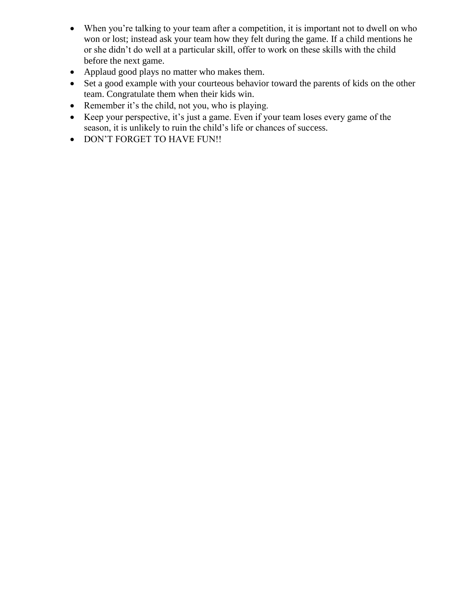- When you're talking to your team after a competition, it is important not to dwell on who won or lost; instead ask your team how they felt during the game. If a child mentions he or she didn't do well at a particular skill, offer to work on these skills with the child before the next game.
- Applaud good plays no matter who makes them.
- Set a good example with your courteous behavior toward the parents of kids on the other team. Congratulate them when their kids win.
- Remember it's the child, not you, who is playing.
- Keep your perspective, it's just a game. Even if your team loses every game of the season, it is unlikely to ruin the child's life or chances of success.
- DON'T FORGET TO HAVE FUN!!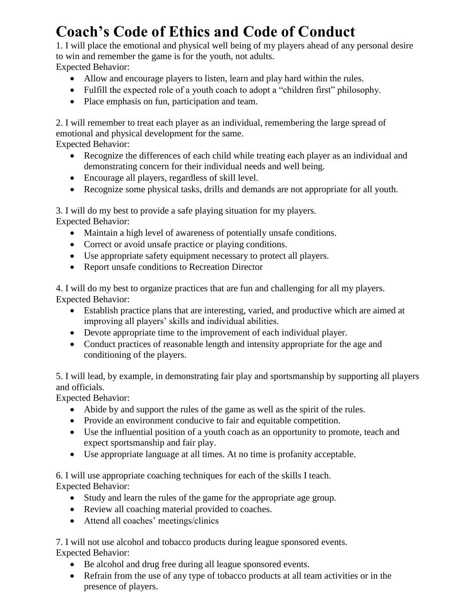# **Coach's Code of Ethics and Code of Conduct**

1. I will place the emotional and physical well being of my players ahead of any personal desire to win and remember the game is for the youth, not adults.

Expected Behavior:

- Allow and encourage players to listen, learn and play hard within the rules.
- Fulfill the expected role of a youth coach to adopt a "children first" philosophy.
- Place emphasis on fun, participation and team.

2. I will remember to treat each player as an individual, remembering the large spread of emotional and physical development for the same.

Expected Behavior:

- Recognize the differences of each child while treating each player as an individual and demonstrating concern for their individual needs and well being.
- Encourage all players, regardless of skill level.
- Recognize some physical tasks, drills and demands are not appropriate for all youth.

3. I will do my best to provide a safe playing situation for my players. Expected Behavior:

- Maintain a high level of awareness of potentially unsafe conditions.
- Correct or avoid unsafe practice or playing conditions.
- Use appropriate safety equipment necessary to protect all players.
- Report unsafe conditions to Recreation Director

4. I will do my best to organize practices that are fun and challenging for all my players. Expected Behavior:

- Establish practice plans that are interesting, varied, and productive which are aimed at improving all players' skills and individual abilities.
- Devote appropriate time to the improvement of each individual player.
- Conduct practices of reasonable length and intensity appropriate for the age and conditioning of the players.

5. I will lead, by example, in demonstrating fair play and sportsmanship by supporting all players and officials.

Expected Behavior:

- Abide by and support the rules of the game as well as the spirit of the rules.
- Provide an environment conducive to fair and equitable competition.
- Use the influential position of a youth coach as an opportunity to promote, teach and expect sportsmanship and fair play.
- Use appropriate language at all times. At no time is profanity acceptable.

6. I will use appropriate coaching techniques for each of the skills I teach. Expected Behavior:

- Study and learn the rules of the game for the appropriate age group.
- Review all coaching material provided to coaches.
- Attend all coaches' meetings/clinics

7. I will not use alcohol and tobacco products during league sponsored events. Expected Behavior:

- Be alcohol and drug free during all league sponsored events.
- Refrain from the use of any type of tobacco products at all team activities or in the presence of players.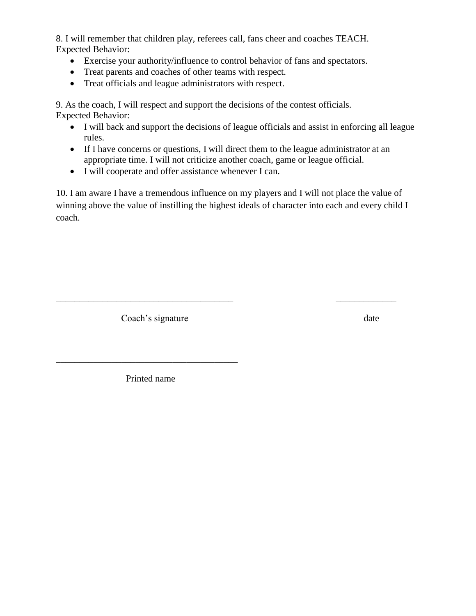8. I will remember that children play, referees call, fans cheer and coaches TEACH. Expected Behavior:

- Exercise your authority/influence to control behavior of fans and spectators.
- Treat parents and coaches of other teams with respect.
- Treat officials and league administrators with respect.

9. As the coach, I will respect and support the decisions of the contest officials. Expected Behavior:

- I will back and support the decisions of league officials and assist in enforcing all league rules.
- If I have concerns or questions, I will direct them to the league administrator at an appropriate time. I will not criticize another coach, game or league official.
- I will cooperate and offer assistance whenever I can.

10. I am aware I have a tremendous influence on my players and I will not place the value of winning above the value of instilling the highest ideals of character into each and every child I coach.

\_\_\_\_\_\_\_\_\_\_\_\_\_\_\_\_\_\_\_\_\_\_\_\_\_\_\_\_\_\_\_\_\_\_\_\_\_\_ \_\_\_\_\_\_\_\_\_\_\_\_\_

Coach's signature date

Printed name

\_\_\_\_\_\_\_\_\_\_\_\_\_\_\_\_\_\_\_\_\_\_\_\_\_\_\_\_\_\_\_\_\_\_\_\_\_\_\_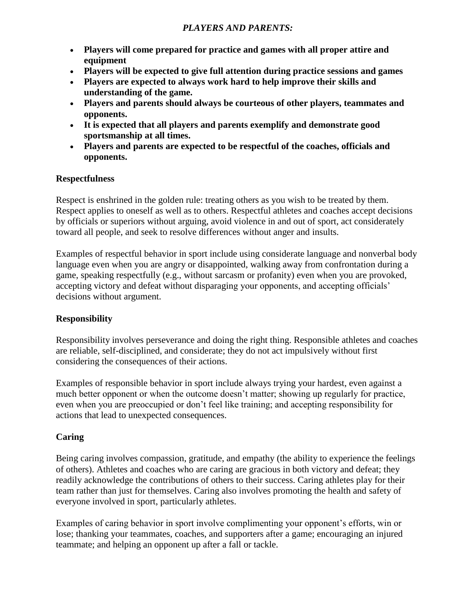- **Players will come prepared for practice and games with all proper attire and equipment**
- **Players will be expected to give full attention during practice sessions and games**
- **Players are expected to always work hard to help improve their skills and understanding of the game.**
- **Players and parents should always be courteous of other players, teammates and opponents.**
- **It is expected that all players and parents exemplify and demonstrate good sportsmanship at all times.**
- **Players and parents are expected to be respectful of the coaches, officials and opponents.**

#### **Respectfulness**

Respect is enshrined in the golden rule: treating others as you wish to be treated by them. Respect applies to oneself as well as to others. Respectful athletes and coaches accept decisions by officials or superiors without arguing, avoid violence in and out of sport, act considerately toward all people, and seek to resolve differences without anger and insults.

Examples of respectful behavior in sport include using considerate language and nonverbal body language even when you are angry or disappointed, walking away from confrontation during a game, speaking respectfully (e.g., without sarcasm or profanity) even when you are provoked, accepting victory and defeat without disparaging your opponents, and accepting officials' decisions without argument.

#### **Responsibility**

Responsibility involves perseverance and doing the right thing. Responsible athletes and coaches are reliable, self-disciplined, and considerate; they do not act impulsively without first considering the consequences of their actions.

Examples of responsible behavior in sport include always trying your hardest, even against a much better opponent or when the outcome doesn't matter; showing up regularly for practice, even when you are preoccupied or don't feel like training; and accepting responsibility for actions that lead to unexpected consequences.

#### **Caring**

Being caring involves compassion, gratitude, and empathy (the ability to experience the feelings of others). Athletes and coaches who are caring are gracious in both victory and defeat; they readily acknowledge the contributions of others to their success. Caring athletes play for their team rather than just for themselves. Caring also involves promoting the health and safety of everyone involved in sport, particularly athletes.

Examples of caring behavior in sport involve complimenting your opponent's efforts, win or lose; thanking your teammates, coaches, and supporters after a game; encouraging an injured teammate; and helping an opponent up after a fall or tackle.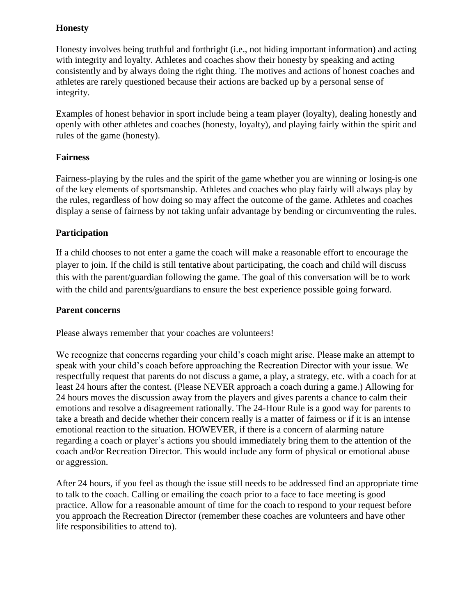#### **Honesty**

Honesty involves being truthful and forthright (i.e., not hiding important information) and acting with integrity and loyalty. Athletes and coaches show their honesty by speaking and acting consistently and by always doing the right thing. The motives and actions of honest coaches and athletes are rarely questioned because their actions are backed up by a personal sense of integrity.

Examples of honest behavior in sport include being a team player (loyalty), dealing honestly and openly with other athletes and coaches (honesty, loyalty), and playing fairly within the spirit and rules of the game (honesty).

#### **Fairness**

Fairness-playing by the rules and the spirit of the game whether you are winning or losing-is one of the key elements of sportsmanship. Athletes and coaches who play fairly will always play by the rules, regardless of how doing so may affect the outcome of the game. Athletes and coaches display a sense of fairness by not taking unfair advantage by bending or circumventing the rules.

#### **Participation**

If a child chooses to not enter a game the coach will make a reasonable effort to encourage the player to join. If the child is still tentative about participating, the coach and child will discuss this with the parent/guardian following the game. The goal of this conversation will be to work with the child and parents/guardians to ensure the best experience possible going forward.

#### **Parent concerns**

Please always remember that your coaches are volunteers!

We recognize that concerns regarding your child's coach might arise. Please make an attempt to speak with your child's coach before approaching the Recreation Director with your issue. We respectfully request that parents do not discuss a game, a play, a strategy, etc. with a coach for at least 24 hours after the contest. (Please NEVER approach a coach during a game.) Allowing for 24 hours moves the discussion away from the players and gives parents a chance to calm their emotions and resolve a disagreement rationally. The 24-Hour Rule is a good way for parents to take a breath and decide whether their concern really is a matter of fairness or if it is an intense emotional reaction to the situation. HOWEVER, if there is a concern of alarming nature regarding a coach or player's actions you should immediately bring them to the attention of the coach and/or Recreation Director. This would include any form of physical or emotional abuse or aggression.

After 24 hours, if you feel as though the issue still needs to be addressed find an appropriate time to talk to the coach. Calling or emailing the coach prior to a face to face meeting is good practice. Allow for a reasonable amount of time for the coach to respond to your request before you approach the Recreation Director (remember these coaches are volunteers and have other life responsibilities to attend to).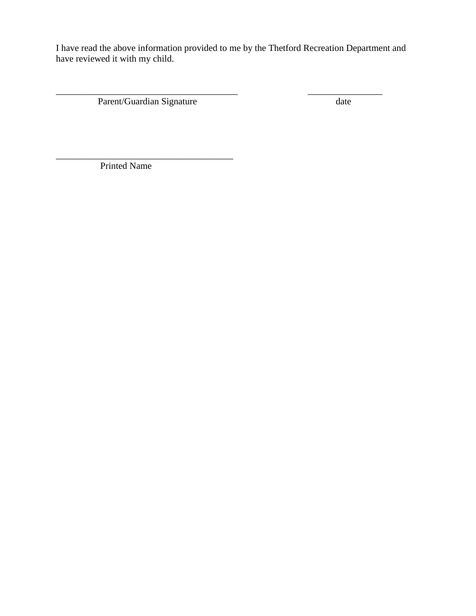I have read the above information provided to me by the Thetford Recreation Department and have reviewed it with my child.

\_\_\_\_\_\_\_\_\_\_\_\_\_\_\_\_\_\_\_\_\_\_\_\_\_\_\_\_\_\_\_\_\_\_\_\_\_\_\_ \_\_\_\_\_\_\_\_\_\_\_\_\_\_\_\_

Parent/Guardian Signature date

\_\_\_\_\_\_\_\_\_\_\_\_\_\_\_\_\_\_\_\_\_\_\_\_\_\_\_\_\_\_\_\_\_\_\_\_\_\_

Printed Name